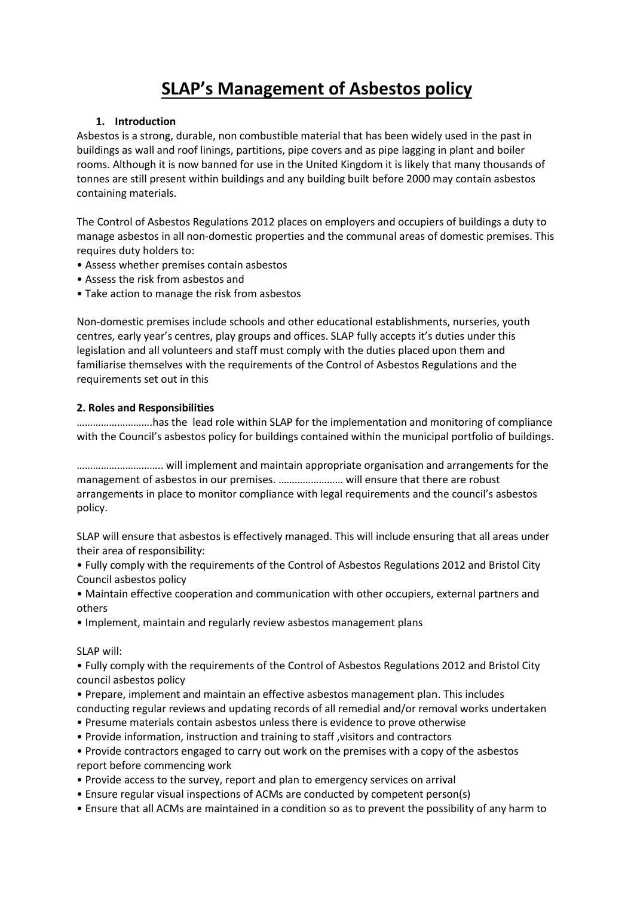# **SLAP's Management of Asbestos policy**

## **1. Introduction**

Asbestos is a strong, durable, non combustible material that has been widely used in the past in buildings as wall and roof linings, partitions, pipe covers and as pipe lagging in plant and boiler rooms. Although it is now banned for use in the United Kingdom it is likely that many thousands of tonnes are still present within buildings and any building built before 2000 may contain asbestos containing materials.

The Control of Asbestos Regulations 2012 places on employers and occupiers of buildings a duty to manage asbestos in all non-domestic properties and the communal areas of domestic premises. This requires duty holders to:

- Assess whether premises contain asbestos
- Assess the risk from asbestos and
- Take action to manage the risk from asbestos

Non-domestic premises include schools and other educational establishments, nurseries, youth centres, early year's centres, play groups and offices. SLAP fully accepts it's duties under this legislation and all volunteers and staff must comply with the duties placed upon them and familiarise themselves with the requirements of the Control of Asbestos Regulations and the requirements set out in this

## **2. Roles and Responsibilities**

……………………….has the lead role within SLAP for the implementation and monitoring of compliance with the Council's asbestos policy for buildings contained within the municipal portfolio of buildings.

………………………….. will implement and maintain appropriate organisation and arrangements for the management of asbestos in our premises. …………………… will ensure that there are robust arrangements in place to monitor compliance with legal requirements and the council's asbestos policy.

SLAP will ensure that asbestos is effectively managed. This will include ensuring that all areas under their area of responsibility:

• Fully comply with the requirements of the Control of Asbestos Regulations 2012 and Bristol City Council asbestos policy

• Maintain effective cooperation and communication with other occupiers, external partners and others

• Implement, maintain and regularly review asbestos management plans

SLAP will:

• Fully comply with the requirements of the Control of Asbestos Regulations 2012 and Bristol City council asbestos policy

- Prepare, implement and maintain an effective asbestos management plan. This includes conducting regular reviews and updating records of all remedial and/or removal works undertaken
- Presume materials contain asbestos unless there is evidence to prove otherwise
- Provide information, instruction and training to staff ,visitors and contractors

• Provide contractors engaged to carry out work on the premises with a copy of the asbestos report before commencing work

- Provide access to the survey, report and plan to emergency services on arrival
- Ensure regular visual inspections of ACMs are conducted by competent person(s)
- Ensure that all ACMs are maintained in a condition so as to prevent the possibility of any harm to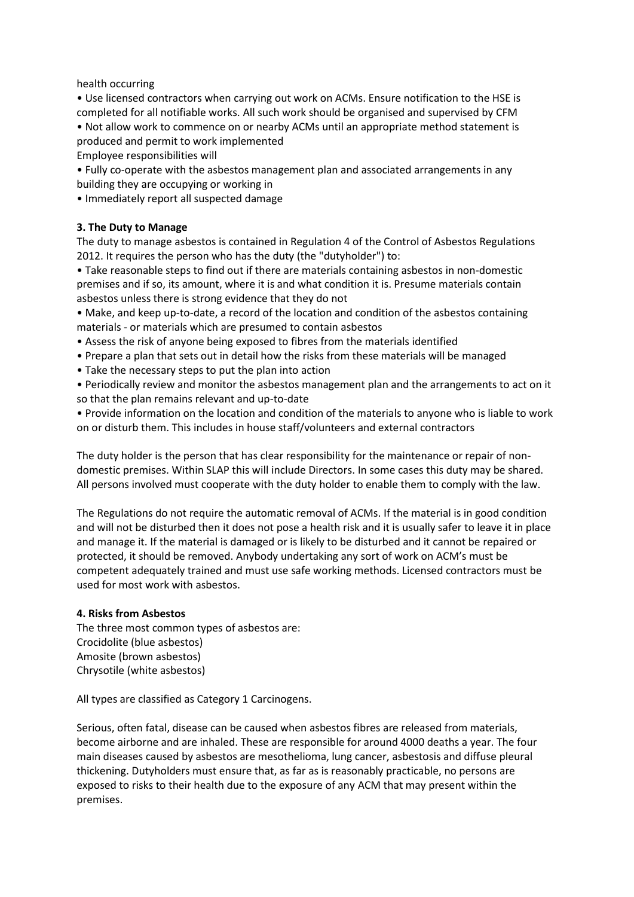health occurring

• Use licensed contractors when carrying out work on ACMs. Ensure notification to the HSE is completed for all notifiable works. All such work should be organised and supervised by CFM • Not allow work to commence on or nearby ACMs until an appropriate method statement is produced and permit to work implemented

Employee responsibilities will

• Fully co-operate with the asbestos management plan and associated arrangements in any building they are occupying or working in

• Immediately report all suspected damage

## **3. The Duty to Manage**

The duty to manage asbestos is contained in Regulation 4 of the Control of Asbestos Regulations 2012. It requires the person who has the duty (the "dutyholder") to:

• Take reasonable steps to find out if there are materials containing asbestos in non-domestic premises and if so, its amount, where it is and what condition it is. Presume materials contain asbestos unless there is strong evidence that they do not

• Make, and keep up-to-date, a record of the location and condition of the asbestos containing materials - or materials which are presumed to contain asbestos

- Assess the risk of anyone being exposed to fibres from the materials identified
- Prepare a plan that sets out in detail how the risks from these materials will be managed
- Take the necessary steps to put the plan into action

• Periodically review and monitor the asbestos management plan and the arrangements to act on it so that the plan remains relevant and up-to-date

• Provide information on the location and condition of the materials to anyone who is liable to work on or disturb them. This includes in house staff/volunteers and external contractors

The duty holder is the person that has clear responsibility for the maintenance or repair of nondomestic premises. Within SLAP this will include Directors. In some cases this duty may be shared. All persons involved must cooperate with the duty holder to enable them to comply with the law.

The Regulations do not require the automatic removal of ACMs. If the material is in good condition and will not be disturbed then it does not pose a health risk and it is usually safer to leave it in place and manage it. If the material is damaged or is likely to be disturbed and it cannot be repaired or protected, it should be removed. Anybody undertaking any sort of work on ACM's must be competent adequately trained and must use safe working methods. Licensed contractors must be used for most work with asbestos.

#### **4. Risks from Asbestos**

The three most common types of asbestos are: Crocidolite (blue asbestos) Amosite (brown asbestos) Chrysotile (white asbestos)

All types are classified as Category 1 Carcinogens.

Serious, often fatal, disease can be caused when asbestos fibres are released from materials, become airborne and are inhaled. These are responsible for around 4000 deaths a year. The four main diseases caused by asbestos are mesothelioma, lung cancer, asbestosis and diffuse pleural thickening. Dutyholders must ensure that, as far as is reasonably practicable, no persons are exposed to risks to their health due to the exposure of any ACM that may present within the premises.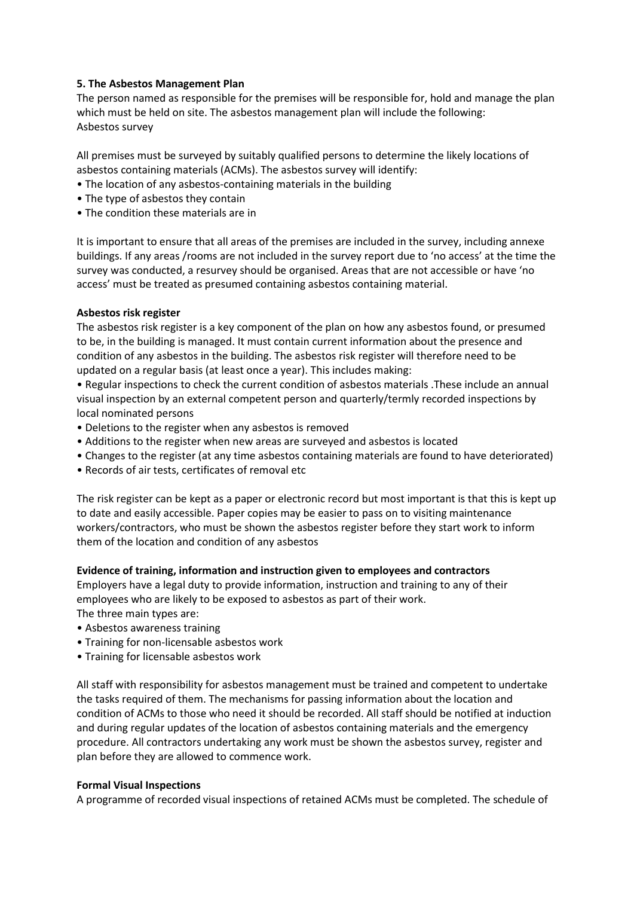## **5. The Asbestos Management Plan**

The person named as responsible for the premises will be responsible for, hold and manage the plan which must be held on site. The asbestos management plan will include the following: Asbestos survey

All premises must be surveyed by suitably qualified persons to determine the likely locations of asbestos containing materials (ACMs). The asbestos survey will identify:

- The location of any asbestos-containing materials in the building
- The type of asbestos they contain
- The condition these materials are in

It is important to ensure that all areas of the premises are included in the survey, including annexe buildings. If any areas /rooms are not included in the survey report due to 'no access' at the time the survey was conducted, a resurvey should be organised. Areas that are not accessible or have 'no access' must be treated as presumed containing asbestos containing material.

#### **Asbestos risk register**

The asbestos risk register is a key component of the plan on how any asbestos found, or presumed to be, in the building is managed. It must contain current information about the presence and condition of any asbestos in the building. The asbestos risk register will therefore need to be updated on a regular basis (at least once a year). This includes making:

• Regular inspections to check the current condition of asbestos materials .These include an annual visual inspection by an external competent person and quarterly/termly recorded inspections by local nominated persons

- Deletions to the register when any asbestos is removed
- Additions to the register when new areas are surveyed and asbestos is located
- Changes to the register (at any time asbestos containing materials are found to have deteriorated)
- Records of air tests, certificates of removal etc

The risk register can be kept as a paper or electronic record but most important is that this is kept up to date and easily accessible. Paper copies may be easier to pass on to visiting maintenance workers/contractors, who must be shown the asbestos register before they start work to inform them of the location and condition of any asbestos

#### **Evidence of training, information and instruction given to employees and contractors**

Employers have a legal duty to provide information, instruction and training to any of their employees who are likely to be exposed to asbestos as part of their work.

The three main types are:

- Asbestos awareness training
- Training for non-licensable asbestos work
- Training for licensable asbestos work

All staff with responsibility for asbestos management must be trained and competent to undertake the tasks required of them. The mechanisms for passing information about the location and condition of ACMs to those who need it should be recorded. All staff should be notified at induction and during regular updates of the location of asbestos containing materials and the emergency procedure. All contractors undertaking any work must be shown the asbestos survey, register and plan before they are allowed to commence work.

#### **Formal Visual Inspections**

A programme of recorded visual inspections of retained ACMs must be completed. The schedule of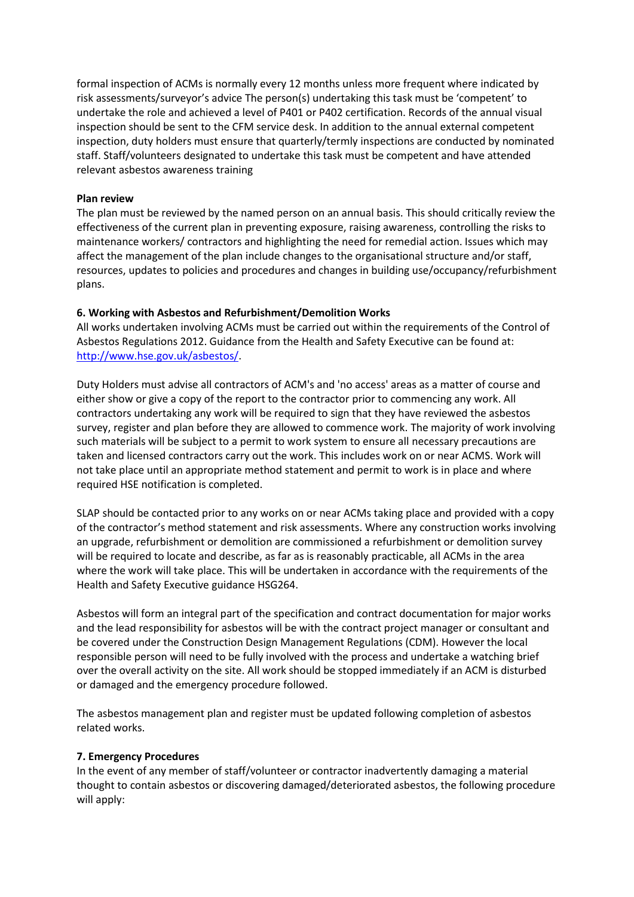formal inspection of ACMs is normally every 12 months unless more frequent where indicated by risk assessments/surveyor's advice The person(s) undertaking this task must be 'competent' to undertake the role and achieved a level of P401 or P402 certification. Records of the annual visual inspection should be sent to the CFM service desk. In addition to the annual external competent inspection, duty holders must ensure that quarterly/termly inspections are conducted by nominated staff. Staff/volunteers designated to undertake this task must be competent and have attended relevant asbestos awareness training

### **Plan review**

The plan must be reviewed by the named person on an annual basis. This should critically review the effectiveness of the current plan in preventing exposure, raising awareness, controlling the risks to maintenance workers/ contractors and highlighting the need for remedial action. Issues which may affect the management of the plan include changes to the organisational structure and/or staff, resources, updates to policies and procedures and changes in building use/occupancy/refurbishment plans.

## **6. Working with Asbestos and Refurbishment/Demolition Works**

All works undertaken involving ACMs must be carried out within the requirements of the Control of Asbestos Regulations 2012. Guidance from the Health and Safety Executive can be found at: [http://www.hse.gov.uk/asbestos/.](http://www.hse.gov.uk/asbestos/)

Duty Holders must advise all contractors of ACM's and 'no access' areas as a matter of course and either show or give a copy of the report to the contractor prior to commencing any work. All contractors undertaking any work will be required to sign that they have reviewed the asbestos survey, register and plan before they are allowed to commence work. The majority of work involving such materials will be subject to a permit to work system to ensure all necessary precautions are taken and licensed contractors carry out the work. This includes work on or near ACMS. Work will not take place until an appropriate method statement and permit to work is in place and where required HSE notification is completed.

SLAP should be contacted prior to any works on or near ACMs taking place and provided with a copy of the contractor's method statement and risk assessments. Where any construction works involving an upgrade, refurbishment or demolition are commissioned a refurbishment or demolition survey will be required to locate and describe, as far as is reasonably practicable, all ACMs in the area where the work will take place. This will be undertaken in accordance with the requirements of the Health and Safety Executive guidance HSG264.

Asbestos will form an integral part of the specification and contract documentation for major works and the lead responsibility for asbestos will be with the contract project manager or consultant and be covered under the Construction Design Management Regulations (CDM). However the local responsible person will need to be fully involved with the process and undertake a watching brief over the overall activity on the site. All work should be stopped immediately if an ACM is disturbed or damaged and the emergency procedure followed.

The asbestos management plan and register must be updated following completion of asbestos related works.

#### **7. Emergency Procedures**

In the event of any member of staff/volunteer or contractor inadvertently damaging a material thought to contain asbestos or discovering damaged/deteriorated asbestos, the following procedure will apply: